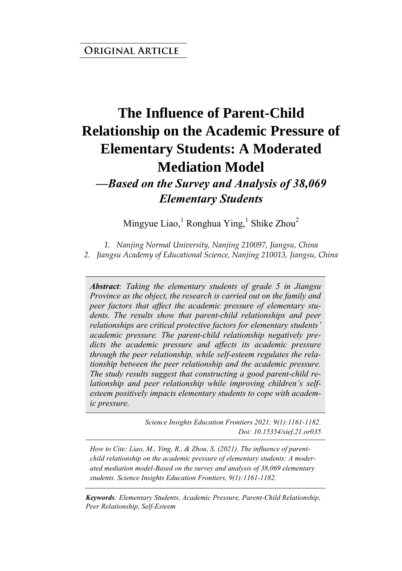#### **ORIGINAL ARTICLE**

# **The Influence of Parent-Child Relationship on the Academic Pressure of Elementary Students: A Moderated Mediation Model**

#### *—Based on the Survey and Analysis of 38,069 Elementary Students*

Mingyue Liao,<sup>1</sup> Ronghua Ying,<sup>1</sup> Shike Zhou<sup>2</sup>

*1. Nanjing Normal University, Nanjing 210097, Jiangsu, China 2. Jiangsu Academy of Educational Science, Nanjing 210013, Jiangsu, China*

*Abstract: Taking the elementary students of grade 5 in Jiangsu Province as the object, the research is carried out on the family and peer factors that affect the academic pressure of elementary students. The results show that parent-child relationships and peer relationships are critical protective factors for elementary students' academic pressure. The parent-child relationship negatively predicts the academic pressure and affects its academic pressure through the peer relationship, while self-esteem regulates the relationship between the peer relationship and the academic pressure. The study results suggest that constructing a good parent-child relationship and peer relationship while improving children's selfesteem positively impacts elementary students to cope with academic pressure.*

> *Science Insights Education Frontiers 2021; 9(1):1161-1182. Doi: 10.15354/sief.21.or035*

*How to Cite: Liao, M., Ying, R., & Zhou, S. (2021). The influence of parentchild relationship on the academic pressure of elementary students: A moderated mediation model-Based on the survey and analysis of 38,069 elementary students. Science Insights Education Frontiers, 9(1):1161-1182.*

*Keywords: Elementary Students, Academic Pressure, Parent-Child Relationship, Peer Relationship, Self-Esteem*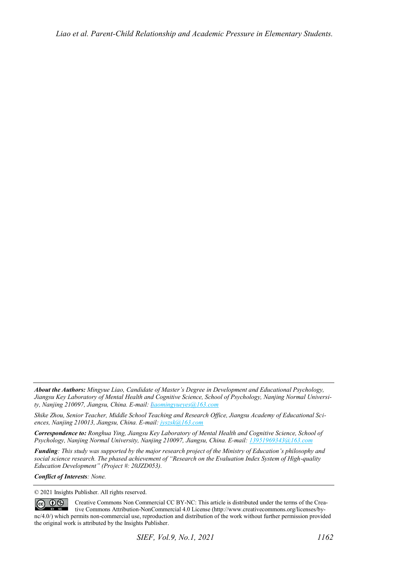*About the Authors: Mingyue Liao, Candidate of Master's Degree in Development and Educational Psychology, Jiangsu Key Laboratory of Mental Health and Cognitive Science, School of Psychology, Nanjing Normal University, Nanjing 210097, Jiangsu, China. E-mail[: liaomingyueyes@163.com](mailto:liaomingyueyes@163.com)* 

*Shike Zhou, Senior Teacher, Middle School Teaching and Research Office, Jiangsu Academy of Educational Sciences, Nanjing 210013, Jiangsu, China. E-mail[: jyszsk@163.com](mailto:jyszsk@163.com)*

*Correspondence to: Ronghua Ying, Jiangsu Key Laboratory of Mental Health and Cognitive Science, School of Psychology, Nanjing Normal University, Nanjing 210097, Jiangsu, China. E-mail[: 13951969343@163.com](mailto:13951969343@163.com)*

*Funding: This study was supported by the major research project of the Ministry of Education's philosophy and social science research. The phased achievement of "Research on the Evaluation Index System of High-quality Education Development" (Project #: 20JZD053).* 

*Conflict of Interests: None.* 

© 2021 Insights Publisher. All rights reserved.

 $\circledcirc$   $\circledcirc$ Creative Commons Non Commercial CC BY-NC: This article is distributed under the terms of the Creative Commons Attribution-NonCommercial 4.0 License (http://www.creativecommons.org/licenses/bync/4.0/) which permits non-commercial use, reproduction and distribution of the work without further permission provided the original work is attributed by the Insights Publisher.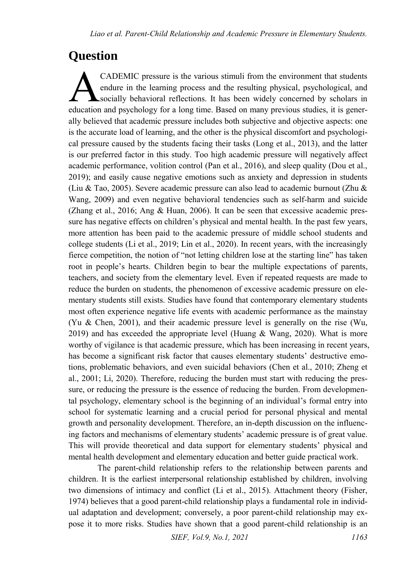## **Question**

CADEMIC pressure is the various stimuli from the environment that students endure in the learning process and the resulting physical, psychological, and socially behavioral reflections. It has been widely concerned by scholars in CADEMIC pressure is the various stimuli from the environment that students endure in the learning process and the resulting physical, psychological, and socially behavioral reflections. It has been widely concerned by scho ally believed that academic pressure includes both subjective and objective aspects: one is the accurate load of learning, and the other is the physical discomfort and psychological pressure caused by the students facing their tasks (Long et al., 2013), and the latter is our preferred factor in this study. Too high academic pressure will negatively affect academic performance, volition control (Pan et al., 2016), and sleep quality (Dou et al., 2019); and easily cause negative emotions such as anxiety and depression in students (Liu & Tao, 2005). Severe academic pressure can also lead to academic burnout (Zhu & Wang, 2009) and even negative behavioral tendencies such as self-harm and suicide (Zhang et al., 2016; Ang & Huan, 2006). It can be seen that excessive academic pressure has negative effects on children's physical and mental health. In the past few years, more attention has been paid to the academic pressure of middle school students and college students (Li et al., 2019; Lin et al., 2020). In recent years, with the increasingly fierce competition, the notion of "not letting children lose at the starting line" has taken root in people's hearts. Children begin to bear the multiple expectations of parents, teachers, and society from the elementary level. Even if repeated requests are made to reduce the burden on students, the phenomenon of excessive academic pressure on elementary students still exists. Studies have found that contemporary elementary students most often experience negative life events with academic performance as the mainstay (Yu & Chen, 2001), and their academic pressure level is generally on the rise (Wu, 2019) and has exceeded the appropriate level (Huang  $\&$  Wang, 2020). What is more worthy of vigilance is that academic pressure, which has been increasing in recent years, has become a significant risk factor that causes elementary students' destructive emotions, problematic behaviors, and even suicidal behaviors (Chen et al., 2010; Zheng et al., 2001; Li, 2020). Therefore, reducing the burden must start with reducing the pressure, or reducing the pressure is the essence of reducing the burden. From developmental psychology, elementary school is the beginning of an individual's formal entry into school for systematic learning and a crucial period for personal physical and mental growth and personality development. Therefore, an in-depth discussion on the influencing factors and mechanisms of elementary students' academic pressure is of great value. This will provide theoretical and data support for elementary students' physical and mental health development and elementary education and better guide practical work.

The parent-child relationship refers to the relationship between parents and children. It is the earliest interpersonal relationship established by children, involving two dimensions of intimacy and conflict (Li et al., 2015). Attachment theory (Fisher, 1974) believes that a good parent-child relationship plays a fundamental role in individual adaptation and development; conversely, a poor parent-child relationship may expose it to more risks. Studies have shown that a good parent-child relationship is an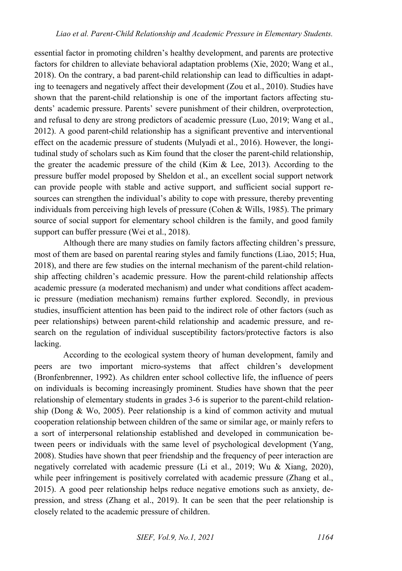essential factor in promoting children's healthy development, and parents are protective factors for children to alleviate behavioral adaptation problems (Xie, 2020; Wang et al., 2018). On the contrary, a bad parent-child relationship can lead to difficulties in adapting to teenagers and negatively affect their development (Zou et al., 2010). Studies have shown that the parent-child relationship is one of the important factors affecting students' academic pressure. Parents' severe punishment of their children, overprotection, and refusal to deny are strong predictors of academic pressure (Luo, 2019; Wang et al., 2012). A good parent-child relationship has a significant preventive and interventional effect on the academic pressure of students (Mulyadi et al., 2016). However, the longitudinal study of scholars such as Kim found that the closer the parent-child relationship, the greater the academic pressure of the child (Kim  $\&$  Lee, 2013). According to the pressure buffer model proposed by Sheldon et al., an excellent social support network can provide people with stable and active support, and sufficient social support resources can strengthen the individual's ability to cope with pressure, thereby preventing individuals from perceiving high levels of pressure (Cohen & Wills, 1985). The primary source of social support for elementary school children is the family, and good family support can buffer pressure (Wei et al., 2018).

Although there are many studies on family factors affecting children's pressure, most of them are based on parental rearing styles and family functions (Liao, 2015; Hua, 2018), and there are few studies on the internal mechanism of the parent-child relationship affecting children's academic pressure. How the parent-child relationship affects academic pressure (a moderated mechanism) and under what conditions affect academic pressure (mediation mechanism) remains further explored. Secondly, in previous studies, insufficient attention has been paid to the indirect role of other factors (such as peer relationships) between parent-child relationship and academic pressure, and research on the regulation of individual susceptibility factors/protective factors is also lacking.

According to the ecological system theory of human development, family and peers are two important micro-systems that affect children's development (Bronfenbrenner, 1992). As children enter school collective life, the influence of peers on individuals is becoming increasingly prominent. Studies have shown that the peer relationship of elementary students in grades 3-6 is superior to the parent-child relationship (Dong & Wo, 2005). Peer relationship is a kind of common activity and mutual cooperation relationship between children of the same or similar age, or mainly refers to a sort of interpersonal relationship established and developed in communication between peers or individuals with the same level of psychological development (Yang, 2008). Studies have shown that peer friendship and the frequency of peer interaction are negatively correlated with academic pressure (Li et al., 2019; Wu & Xiang, 2020), while peer infringement is positively correlated with academic pressure (Zhang et al., 2015). A good peer relationship helps reduce negative emotions such as anxiety, depression, and stress (Zhang et al., 2019). It can be seen that the peer relationship is closely related to the academic pressure of children.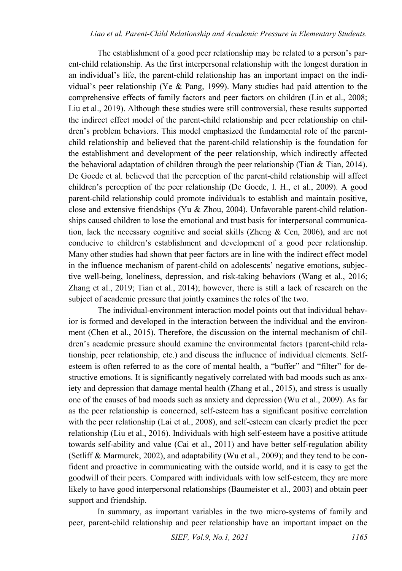#### *Liao et al. Parent-Child Relationship and Academic Pressure in Elementary Students.*

The establishment of a good peer relationship may be related to a person's parent-child relationship. As the first interpersonal relationship with the longest duration in an individual's life, the parent-child relationship has an important impact on the individual's peer relationship (Ye & Pang, 1999). Many studies had paid attention to the comprehensive effects of family factors and peer factors on children (Lin et al., 2008; Liu et al., 2019). Although these studies were still controversial, these results supported the indirect effect model of the parent-child relationship and peer relationship on children's problem behaviors. This model emphasized the fundamental role of the parentchild relationship and believed that the parent-child relationship is the foundation for the establishment and development of the peer relationship, which indirectly affected the behavioral adaptation of children through the peer relationship (Tian  $&$  Tian, 2014). De Goede et al. believed that the perception of the parent-child relationship will affect children's perception of the peer relationship (De Goede, I. H., et al., 2009). A good parent-child relationship could promote individuals to establish and maintain positive, close and extensive friendships (Yu & Zhou, 2004). Unfavorable parent-child relationships caused children to lose the emotional and trust basis for interpersonal communication, lack the necessary cognitive and social skills (Zheng & Cen, 2006), and are not conducive to children's establishment and development of a good peer relationship. Many other studies had shown that peer factors are in line with the indirect effect model in the influence mechanism of parent-child on adolescents' negative emotions, subjective well-being, loneliness, depression, and risk-taking behaviors (Wang et al., 2016; Zhang et al., 2019; Tian et al., 2014); however, there is still a lack of research on the subject of academic pressure that jointly examines the roles of the two.

The individual-environment interaction model points out that individual behavior is formed and developed in the interaction between the individual and the environment (Chen et al., 2015). Therefore, the discussion on the internal mechanism of children's academic pressure should examine the environmental factors (parent-child relationship, peer relationship, etc.) and discuss the influence of individual elements. Selfesteem is often referred to as the core of mental health, a "buffer" and "filter" for destructive emotions. It is significantly negatively correlated with bad moods such as anxiety and depression that damage mental health (Zhang et al., 2015), and stress is usually one of the causes of bad moods such as anxiety and depression (Wu et al., 2009). As far as the peer relationship is concerned, self-esteem has a significant positive correlation with the peer relationship (Lai et al., 2008), and self-esteem can clearly predict the peer relationship (Liu et al., 2016). Individuals with high self-esteem have a positive attitude towards self-ability and value (Cai et al., 2011) and have better self-regulation ability (Setliff & Marmurek, 2002), and adaptability (Wu et al., 2009); and they tend to be confident and proactive in communicating with the outside world, and it is easy to get the goodwill of their peers. Compared with individuals with low self-esteem, they are more likely to have good interpersonal relationships (Baumeister et al., 2003) and obtain peer support and friendship.

In summary, as important variables in the two micro-systems of family and peer, parent-child relationship and peer relationship have an important impact on the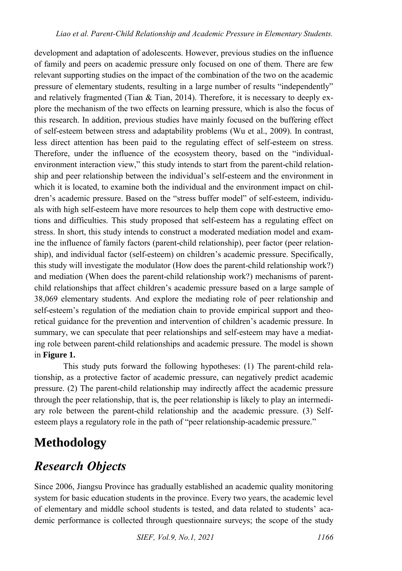development and adaptation of adolescents. However, previous studies on the influence of family and peers on academic pressure only focused on one of them. There are few relevant supporting studies on the impact of the combination of the two on the academic pressure of elementary students, resulting in a large number of results "independently" and relatively fragmented (Tian  $\&$  Tian, 2014). Therefore, it is necessary to deeply explore the mechanism of the two effects on learning pressure, which is also the focus of this research. In addition, previous studies have mainly focused on the buffering effect of self-esteem between stress and adaptability problems (Wu et al., 2009). In contrast, less direct attention has been paid to the regulating effect of self-esteem on stress. Therefore, under the influence of the ecosystem theory, based on the "individualenvironment interaction view," this study intends to start from the parent-child relationship and peer relationship between the individual's self-esteem and the environment in which it is located, to examine both the individual and the environment impact on children's academic pressure. Based on the "stress buffer model" of self-esteem, individuals with high self-esteem have more resources to help them cope with destructive emotions and difficulties. This study proposed that self-esteem has a regulating effect on stress. In short, this study intends to construct a moderated mediation model and examine the influence of family factors (parent-child relationship), peer factor (peer relationship), and individual factor (self-esteem) on children's academic pressure. Specifically, this study will investigate the modulator (How does the parent-child relationship work?) and mediation (When does the parent-child relationship work?) mechanisms of parentchild relationships that affect children's academic pressure based on a large sample of 38,069 elementary students. And explore the mediating role of peer relationship and self-esteem's regulation of the mediation chain to provide empirical support and theoretical guidance for the prevention and intervention of children's academic pressure. In summary, we can speculate that peer relationships and self-esteem may have a mediating role between parent-child relationships and academic pressure. The model is shown in **Figure 1.**

This study puts forward the following hypotheses: (1) The parent-child relationship, as a protective factor of academic pressure, can negatively predict academic pressure. (2) The parent-child relationship may indirectly affect the academic pressure through the peer relationship, that is, the peer relationship is likely to play an intermediary role between the parent-child relationship and the academic pressure. (3) Selfesteem plays a regulatory role in the path of "peer relationship-academic pressure."

# **Methodology**

# *Research Objects*

Since 2006, Jiangsu Province has gradually established an academic quality monitoring system for basic education students in the province. Every two years, the academic level of elementary and middle school students is tested, and data related to students' academic performance is collected through questionnaire surveys; the scope of the study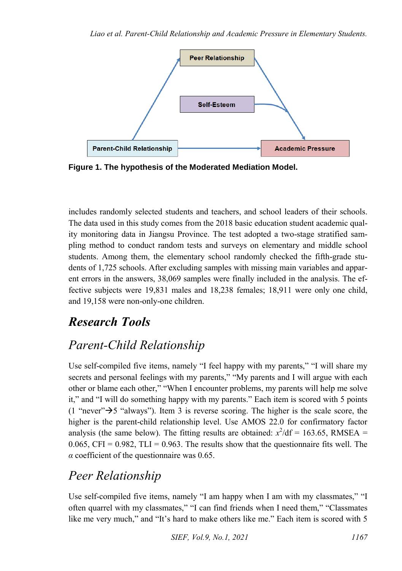

**Figure 1. The hypothesis of the Moderated Mediation Model.** 

includes randomly selected students and teachers, and school leaders of their schools. The data used in this study comes from the 2018 basic education student academic quality monitoring data in Jiangsu Province. The test adopted a two-stage stratified sampling method to conduct random tests and surveys on elementary and middle school students. Among them, the elementary school randomly checked the fifth-grade students of 1,725 schools. After excluding samples with missing main variables and apparent errors in the answers, 38,069 samples were finally included in the analysis. The effective subjects were 19,831 males and 18,238 females; 18,911 were only one child, and 19,158 were non-only-one children.

## *Research Tools*

# *Parent-Child Relationship*

Use self-compiled five items, namely "I feel happy with my parents," "I will share my secrets and personal feelings with my parents," "My parents and I will argue with each other or blame each other," "When I encounter problems, my parents will help me solve it," and "I will do something happy with my parents." Each item is scored with 5 points (1 "never" $\rightarrow$ 5 "always"). Item 3 is reverse scoring. The higher is the scale score, the higher is the parent-child relationship level. Use AMOS 22.0 for confirmatory factor analysis (the same below). The fitting results are obtained:  $x^2/df = 163.65$ , RMSEA = 0.065, CFI =  $0.982$ , TLI = 0.963. The results show that the questionnaire fits well. The *α* coefficient of the questionnaire was 0.65.

## *Peer Relationship*

Use self-compiled five items, namely "I am happy when I am with my classmates," "I often quarrel with my classmates," "I can find friends when I need them," "Classmates like me very much," and "It's hard to make others like me." Each item is scored with 5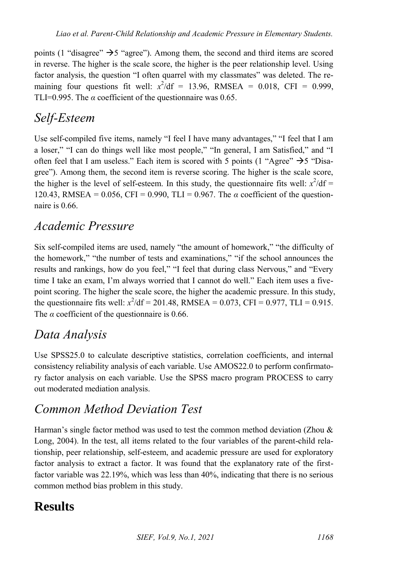points (1 "disagree"  $\rightarrow$  5 "agree"). Among them, the second and third items are scored in reverse. The higher is the scale score, the higher is the peer relationship level. Using factor analysis, the question "I often quarrel with my classmates" was deleted. The remaining four questions fit well:  $x^2/df = 13.96$ , RMSEA = 0.018, CFI = 0.999, TLI=0.995. The  $\alpha$  coefficient of the questionnaire was 0.65.

### *Self-Esteem*

Use self-compiled five items, namely "I feel I have many advantages," "I feel that I am a loser," "I can do things well like most people," "In general, I am Satisfied," and "I often feel that I am useless." Each item is scored with 5 points (1 "Agree"  $\rightarrow$  5 "Disagree"). Among them, the second item is reverse scoring. The higher is the scale score, the higher is the level of self-esteem. In this study, the questionnaire fits well:  $x^2/df =$ 120.43, RMSEA = 0.056, CFI = 0.990, TLI = 0.967. The *α* coefficient of the questionnaire is 0.66.

### *Academic Pressure*

Six self-compiled items are used, namely "the amount of homework," "the difficulty of the homework," "the number of tests and examinations," "if the school announces the results and rankings, how do you feel," "I feel that during class Nervous," and "Every time I take an exam, I'm always worried that I cannot do well." Each item uses a fivepoint scoring. The higher the scale score, the higher the academic pressure. In this study, the questionnaire fits well:  $x^2/df = 201.48$ , RMSEA = 0.073, CFI = 0.977, TLI = 0.915. The  $\alpha$  coefficient of the questionnaire is 0.66.

## *Data Analysis*

Use SPSS25.0 to calculate descriptive statistics, correlation coefficients, and internal consistency reliability analysis of each variable. Use AMOS22.0 to perform confirmatory factor analysis on each variable. Use the SPSS macro program PROCESS to carry out moderated mediation analysis.

## *Common Method Deviation Test*

Harman's single factor method was used to test the common method deviation (Zhou  $\&$ Long, 2004). In the test, all items related to the four variables of the parent-child relationship, peer relationship, self-esteem, and academic pressure are used for exploratory factor analysis to extract a factor. It was found that the explanatory rate of the firstfactor variable was 22.19%, which was less than 40%, indicating that there is no serious common method bias problem in this study.

## **Results**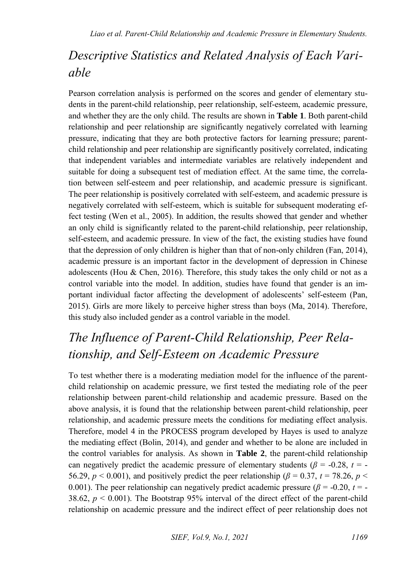## *Descriptive Statistics and Related Analysis of Each Variable*

Pearson correlation analysis is performed on the scores and gender of elementary students in the parent-child relationship, peer relationship, self-esteem, academic pressure, and whether they are the only child. The results are shown in **Table 1**. Both parent-child relationship and peer relationship are significantly negatively correlated with learning pressure, indicating that they are both protective factors for learning pressure; parentchild relationship and peer relationship are significantly positively correlated, indicating that independent variables and intermediate variables are relatively independent and suitable for doing a subsequent test of mediation effect. At the same time, the correlation between self-esteem and peer relationship, and academic pressure is significant. The peer relationship is positively correlated with self-esteem, and academic pressure is negatively correlated with self-esteem, which is suitable for subsequent moderating effect testing (Wen et al., 2005). In addition, the results showed that gender and whether an only child is significantly related to the parent-child relationship, peer relationship, self-esteem, and academic pressure. In view of the fact, the existing studies have found that the depression of only children is higher than that of non-only children (Fan, 2014), academic pressure is an important factor in the development of depression in Chinese adolescents (Hou  $&$  Chen, 2016). Therefore, this study takes the only child or not as a control variable into the model. In addition, studies have found that gender is an important individual factor affecting the development of adolescents' self-esteem (Pan, 2015). Girls are more likely to perceive higher stress than boys (Ma, 2014). Therefore, this study also included gender as a control variable in the model.

# *The Influence of Parent-Child Relationship, Peer Relationship, and Self-Esteem on Academic Pressure*

To test whether there is a moderating mediation model for the influence of the parentchild relationship on academic pressure, we first tested the mediating role of the peer relationship between parent-child relationship and academic pressure. Based on the above analysis, it is found that the relationship between parent-child relationship, peer relationship, and academic pressure meets the conditions for mediating effect analysis. Therefore, model 4 in the PROCESS program developed by Hayes is used to analyze the mediating effect (Bolin, 2014), and gender and whether to be alone are included in the control variables for analysis. As shown in **Table 2**, the parent-child relationship can negatively predict the academic pressure of elementary students ( $\beta$  = -0.28,  $t$  = -56.29,  $p < 0.001$ ), and positively predict the peer relationship ( $\beta = 0.37$ ,  $t = 78.26$ ,  $p <$ 0.001). The peer relationship can negatively predict academic pressure ( $\beta$  = -0.20,  $t$  = -38.62, *p* < 0.001). The Bootstrap 95% interval of the direct effect of the parent-child relationship on academic pressure and the indirect effect of peer relationship does not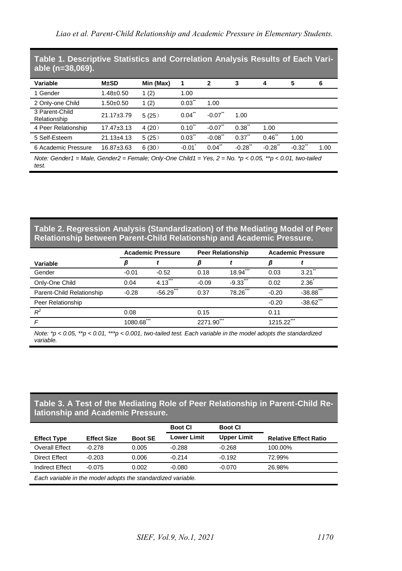**Table 1. Descriptive Statistics and Correlation Analysis Results of Each Variable (n=38,069).**

| Variable                                                                                                                    | M±SD             | Min (Max) | 1                    | $\mathbf{2}$          | 3                    | 4                | 5       | 6    |
|-----------------------------------------------------------------------------------------------------------------------------|------------------|-----------|----------------------|-----------------------|----------------------|------------------|---------|------|
| 1 Gender                                                                                                                    | $1.48 \pm 0.50$  | 1(2)      | 1.00                 |                       |                      |                  |         |      |
| 2 Only-one Child                                                                                                            | $1.50+0.50$      | 1(2)      | 0.03                 | 1.00                  |                      |                  |         |      |
| 3 Parent-Child<br>Relationship                                                                                              | 21.17±3.79       | 5(25)     | $0.04$ <sup>**</sup> | $-0.07$ **            | 1.00                 |                  |         |      |
| 4 Peer Relationship                                                                                                         | $17.47 \pm 3.13$ | 4(20)     | $0.10^{1}$           | $-0.07$ <sup>**</sup> | $0.38^{1}$           | 1.00             |         |      |
| 5 Self-Esteem                                                                                                               | $21.13 \pm 4.13$ | 5(25)     | $0.03^{\degree}$     | $-0.08$               | 0.37                 | $0.46^{\degree}$ | 1.00    |      |
| 6 Academic Pressure                                                                                                         | $16.87 \pm 3.63$ | 6(30)     | $-0.01$              | $0.04^{\degree}$      | $-0.28$ <sup>*</sup> | $-0.28$          | $-0.32$ | 1.00 |
| Note: Gender1 = Male, Gender2 = Female; Only-One Child1 = Yes, $2 = No.$ * $p < 0.05$ , ** $p < 0.01$ , two-tailed<br>test. |                  |           |                      |                       |                      |                  |         |      |

#### **Table 2. Regression Analysis (Standardization) of the Mediating Model of Peer Relationship between Parent-Child Relationship and Academic Pressure.**

|                           | <b>Academic Pressure</b><br><b>Peer Relationship</b> |                 | <b>Academic Pressure</b> |                |         |                 |
|---------------------------|------------------------------------------------------|-----------------|--------------------------|----------------|---------|-----------------|
| Variable                  |                                                      |                 |                          |                |         |                 |
| Gender                    | $-0.01$                                              | $-0.52$         | 0.18                     | 444<br>18.94   | 0.03    | 3.21            |
| Only-One Child            | 0.04                                                 | ***<br>4.13     | $-0.09$                  | ***<br>$-9.33$ | 0.02    | 2.36            |
| Parent-Child Relationship | $-0.28$                                              | ***<br>$-56.29$ | 0.37                     | ***<br>78.26   | $-0.20$ | ***<br>$-38.88$ |
| Peer Relationship         |                                                      |                 |                          |                | $-0.20$ | ***<br>$-38.62$ |
| $R^2$                     | 0.08                                                 |                 | 0.15                     |                | 0.11    |                 |
|                           | ***<br>1080.68                                       |                 | 2271.90                  | ***            | 1215.22 |                 |
|                           |                                                      |                 |                          |                |         |                 |

*Note: \*p < 0.05, \*\*p < 0.01, \*\*\*p < 0.001, two-tailed test. Each variable in the model adopts the standardized variable.*

#### **Table 3. A Test of the Mediating Role of Peer Relationship in Parent-Child Relationship and Academic Pressure.**

|                                                              |                    |                | <b>Boot CI</b> | <b>Boot CI</b>     |                              |  |
|--------------------------------------------------------------|--------------------|----------------|----------------|--------------------|------------------------------|--|
| <b>Effect Type</b>                                           | <b>Effect Size</b> | <b>Boot SE</b> | Lower Limit    | <b>Upper Limit</b> | <b>Relative Effect Ratio</b> |  |
| Overall Effect                                               | $-0.278$           | 0.005          | $-0.288$       | $-0.268$           | 100.00%                      |  |
| Direct Effect                                                | $-0.203$           | 0.006          | $-0.214$       | $-0.192$           | 72.99%                       |  |
| Indirect Effect                                              | $-0.075$           | 0.002          | $-0.080$       | $-0.070$           | 26.98%                       |  |
| Each variable in the model adopts the standardized variable. |                    |                |                |                    |                              |  |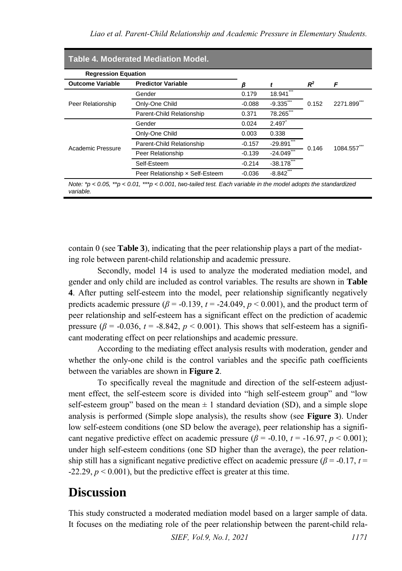| <b>Regression Equation</b> |                                                             |          |                         |       |          |
|----------------------------|-------------------------------------------------------------|----------|-------------------------|-------|----------|
| <b>Outcome Variable</b>    | <b>Predictor Variable</b>                                   | ß        |                         | $R^2$ | F        |
| Peer Relationship          | Gender                                                      | 0.179    | 18.941                  |       | 2271.899 |
|                            | Only-One Child                                              | $-0.088$ | $-9.335$ <sup>***</sup> | 0.152 |          |
|                            | Parent-Child Relationship                                   | 0.371    | 78.265                  |       |          |
| Academic Pressure          | Gender                                                      | 0.024    | 2.497                   |       | 1084.557 |
|                            | Only-One Child                                              | 0.003    | 0.338                   |       |          |
|                            | Parent-Child Relationship                                   | $-0.157$ | $-29.891$               |       |          |
|                            | Peer Relationship                                           | $-0.139$ | $-24.049$               | 0.146 |          |
|                            | Self-Esteem                                                 | $-0.214$ | $-38.178$               |       |          |
|                            | $-8.842$ ***<br>Peer Relationship x Self-Esteem<br>$-0.036$ |          |                         |       |          |

contain 0 (see **Table 3**), indicating that the peer relationship plays a part of the mediating role between parent-child relationship and academic pressure.

Secondly, model 14 is used to analyze the moderated mediation model, and gender and only child are included as control variables. The results are shown in **Table 4**. After putting self-esteem into the model, peer relationship significantly negatively predicts academic pressure ( $\beta$  = -0.139,  $t$  = -24.049,  $p$  < 0.001), and the product term of peer relationship and self-esteem has a significant effect on the prediction of academic pressure ( $\beta$  = -0.036,  $t$  = -8.842,  $p$  < 0.001). This shows that self-esteem has a significant moderating effect on peer relationships and academic pressure.

According to the mediating effect analysis results with moderation, gender and whether the only-one child is the control variables and the specific path coefficients between the variables are shown in **Figure 2**.

To specifically reveal the magnitude and direction of the self-esteem adjustment effect, the self-esteem score is divided into "high self-esteem group" and "low self-esteem group" based on the mean  $\pm 1$  standard deviation (SD), and a simple slope analysis is performed (Simple slope analysis), the results show (see **Figure 3**). Under low self-esteem conditions (one SD below the average), peer relationship has a significant negative predictive effect on academic pressure  $(\beta = -0.10, t = -16.97, p < 0.001)$ ; under high self-esteem conditions (one SD higher than the average), the peer relationship still has a significant negative predictive effect on academic pressure ( $\beta$  = -0.17, *t* =  $-22.29$ ,  $p < 0.001$ ), but the predictive effect is greater at this time.

### **Discussion**

This study constructed a moderated mediation model based on a larger sample of data. It focuses on the mediating role of the peer relationship between the parent-child rela-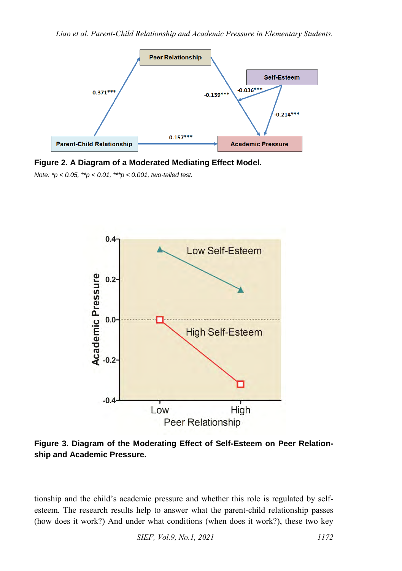

**Figure 2. A Diagram of a Moderated Mediating Effect Model.** 

*Note: \*p < 0.05, \*\*p < 0.01, \*\*\*p < 0.001, two-tailed test.* 



**Figure 3. Diagram of the Moderating Effect of Self-Esteem on Peer Relationship and Academic Pressure.** 

tionship and the child's academic pressure and whether this role is regulated by selfesteem. The research results help to answer what the parent-child relationship passes (how does it work?) And under what conditions (when does it work?), these two key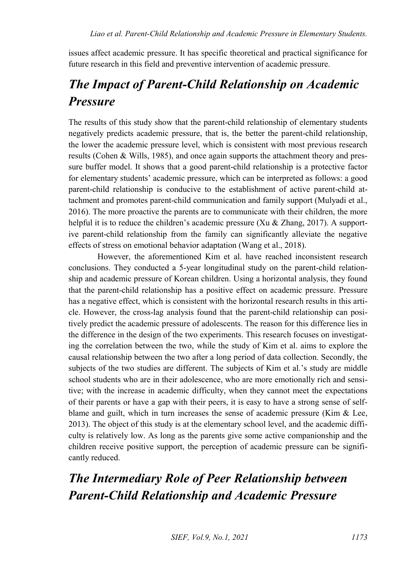issues affect academic pressure. It has specific theoretical and practical significance for future research in this field and preventive intervention of academic pressure.

# *The Impact of Parent-Child Relationship on Academic Pressure*

The results of this study show that the parent-child relationship of elementary students negatively predicts academic pressure, that is, the better the parent-child relationship, the lower the academic pressure level, which is consistent with most previous research results (Cohen & Wills, 1985), and once again supports the attachment theory and pressure buffer model. It shows that a good parent-child relationship is a protective factor for elementary students' academic pressure, which can be interpreted as follows: a good parent-child relationship is conducive to the establishment of active parent-child attachment and promotes parent-child communication and family support (Mulyadi et al., 2016). The more proactive the parents are to communicate with their children, the more helpful it is to reduce the children's academic pressure (Xu  $&$  Zhang, 2017). A supportive parent-child relationship from the family can significantly alleviate the negative effects of stress on emotional behavior adaptation (Wang et al., 2018).

However, the aforementioned Kim et al. have reached inconsistent research conclusions. They conducted a 5-year longitudinal study on the parent-child relationship and academic pressure of Korean children. Using a horizontal analysis, they found that the parent-child relationship has a positive effect on academic pressure. Pressure has a negative effect, which is consistent with the horizontal research results in this article. However, the cross-lag analysis found that the parent-child relationship can positively predict the academic pressure of adolescents. The reason for this difference lies in the difference in the design of the two experiments. This research focuses on investigating the correlation between the two, while the study of Kim et al. aims to explore the causal relationship between the two after a long period of data collection. Secondly, the subjects of the two studies are different. The subjects of Kim et al.'s study are middle school students who are in their adolescence, who are more emotionally rich and sensitive; with the increase in academic difficulty, when they cannot meet the expectations of their parents or have a gap with their peers, it is easy to have a strong sense of selfblame and guilt, which in turn increases the sense of academic pressure (Kim  $\&$  Lee, 2013). The object of this study is at the elementary school level, and the academic difficulty is relatively low. As long as the parents give some active companionship and the children receive positive support, the perception of academic pressure can be significantly reduced.

# *The Intermediary Role of Peer Relationship between Parent-Child Relationship and Academic Pressure*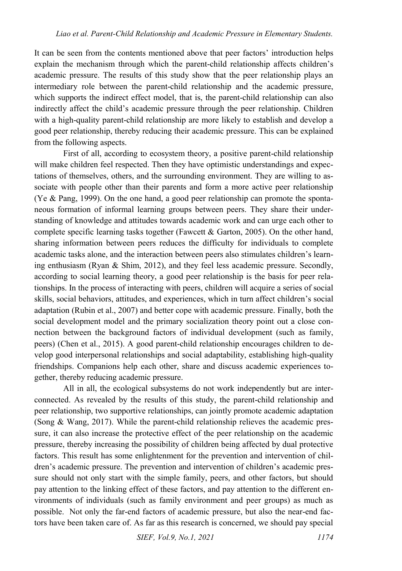It can be seen from the contents mentioned above that peer factors' introduction helps explain the mechanism through which the parent-child relationship affects children's academic pressure. The results of this study show that the peer relationship plays an intermediary role between the parent-child relationship and the academic pressure, which supports the indirect effect model, that is, the parent-child relationship can also indirectly affect the child's academic pressure through the peer relationship. Children with a high-quality parent-child relationship are more likely to establish and develop a good peer relationship, thereby reducing their academic pressure. This can be explained from the following aspects.

First of all, according to ecosystem theory, a positive parent-child relationship will make children feel respected. Then they have optimistic understandings and expectations of themselves, others, and the surrounding environment. They are willing to associate with people other than their parents and form a more active peer relationship (Ye & Pang, 1999). On the one hand, a good peer relationship can promote the spontaneous formation of informal learning groups between peers. They share their understanding of knowledge and attitudes towards academic work and can urge each other to complete specific learning tasks together (Fawcett & Garton, 2005). On the other hand, sharing information between peers reduces the difficulty for individuals to complete academic tasks alone, and the interaction between peers also stimulates children's learning enthusiasm (Ryan & Shim, 2012), and they feel less academic pressure. Secondly, according to social learning theory, a good peer relationship is the basis for peer relationships. In the process of interacting with peers, children will acquire a series of social skills, social behaviors, attitudes, and experiences, which in turn affect children's social adaptation (Rubin et al., 2007) and better cope with academic pressure. Finally, both the social development model and the primary socialization theory point out a close connection between the background factors of individual development (such as family, peers) (Chen et al., 2015). A good parent-child relationship encourages children to develop good interpersonal relationships and social adaptability, establishing high-quality friendships. Companions help each other, share and discuss academic experiences together, thereby reducing academic pressure.

All in all, the ecological subsystems do not work independently but are interconnected. As revealed by the results of this study, the parent-child relationship and peer relationship, two supportive relationships, can jointly promote academic adaptation (Song & Wang, 2017). While the parent-child relationship relieves the academic pressure, it can also increase the protective effect of the peer relationship on the academic pressure, thereby increasing the possibility of children being affected by dual protective factors. This result has some enlightenment for the prevention and intervention of children's academic pressure. The prevention and intervention of children's academic pressure should not only start with the simple family, peers, and other factors, but should pay attention to the linking effect of these factors, and pay attention to the different environments of individuals (such as family environment and peer groups) as much as possible. Not only the far-end factors of academic pressure, but also the near-end factors have been taken care of. As far as this research is concerned, we should pay special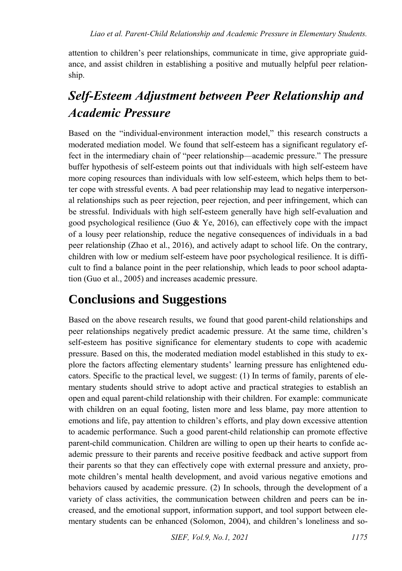attention to children's peer relationships, communicate in time, give appropriate guidance, and assist children in establishing a positive and mutually helpful peer relationship.

# *Self-Esteem Adjustment between Peer Relationship and Academic Pressure*

Based on the "individual-environment interaction model," this research constructs a moderated mediation model. We found that self-esteem has a significant regulatory effect in the intermediary chain of "peer relationship—academic pressure." The pressure buffer hypothesis of self-esteem points out that individuals with high self-esteem have more coping resources than individuals with low self-esteem, which helps them to better cope with stressful events. A bad peer relationship may lead to negative interpersonal relationships such as peer rejection, peer rejection, and peer infringement, which can be stressful. Individuals with high self-esteem generally have high self-evaluation and good psychological resilience (Guo  $\&$  Ye, 2016), can effectively cope with the impact of a lousy peer relationship, reduce the negative consequences of individuals in a bad peer relationship (Zhao et al., 2016), and actively adapt to school life. On the contrary, children with low or medium self-esteem have poor psychological resilience. It is difficult to find a balance point in the peer relationship, which leads to poor school adaptation (Guo et al., 2005) and increases academic pressure.

## **Conclusions and Suggestions**

Based on the above research results, we found that good parent-child relationships and peer relationships negatively predict academic pressure. At the same time, children's self-esteem has positive significance for elementary students to cope with academic pressure. Based on this, the moderated mediation model established in this study to explore the factors affecting elementary students' learning pressure has enlightened educators. Specific to the practical level, we suggest: (1) In terms of family, parents of elementary students should strive to adopt active and practical strategies to establish an open and equal parent-child relationship with their children. For example: communicate with children on an equal footing, listen more and less blame, pay more attention to emotions and life, pay attention to children's efforts, and play down excessive attention to academic performance. Such a good parent-child relationship can promote effective parent-child communication. Children are willing to open up their hearts to confide academic pressure to their parents and receive positive feedback and active support from their parents so that they can effectively cope with external pressure and anxiety, promote children's mental health development, and avoid various negative emotions and behaviors caused by academic pressure. (2) In schools, through the development of a variety of class activities, the communication between children and peers can be increased, and the emotional support, information support, and tool support between elementary students can be enhanced (Solomon, 2004), and children's loneliness and so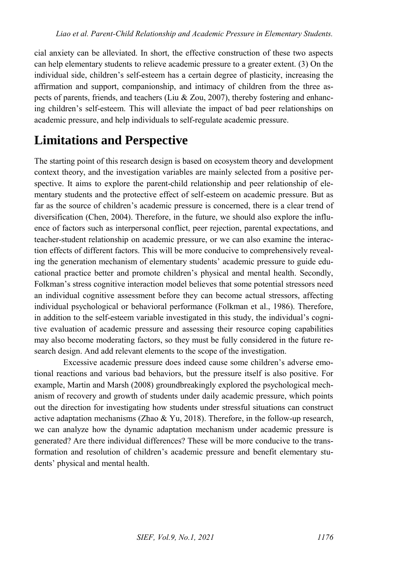cial anxiety can be alleviated. In short, the effective construction of these two aspects can help elementary students to relieve academic pressure to a greater extent. (3) On the individual side, children's self-esteem has a certain degree of plasticity, increasing the affirmation and support, companionship, and intimacy of children from the three aspects of parents, friends, and teachers (Liu & Zou, 2007), thereby fostering and enhancing children's self-esteem. This will alleviate the impact of bad peer relationships on academic pressure, and help individuals to self-regulate academic pressure.

## **Limitations and Perspective**

The starting point of this research design is based on ecosystem theory and development context theory, and the investigation variables are mainly selected from a positive perspective. It aims to explore the parent-child relationship and peer relationship of elementary students and the protective effect of self-esteem on academic pressure. But as far as the source of children's academic pressure is concerned, there is a clear trend of diversification (Chen, 2004). Therefore, in the future, we should also explore the influence of factors such as interpersonal conflict, peer rejection, parental expectations, and teacher-student relationship on academic pressure, or we can also examine the interaction effects of different factors. This will be more conducive to comprehensively revealing the generation mechanism of elementary students' academic pressure to guide educational practice better and promote children's physical and mental health. Secondly, Folkman's stress cognitive interaction model believes that some potential stressors need an individual cognitive assessment before they can become actual stressors, affecting individual psychological or behavioral performance (Folkman et al., 1986). Therefore, in addition to the self-esteem variable investigated in this study, the individual's cognitive evaluation of academic pressure and assessing their resource coping capabilities may also become moderating factors, so they must be fully considered in the future research design. And add relevant elements to the scope of the investigation.

Excessive academic pressure does indeed cause some children's adverse emotional reactions and various bad behaviors, but the pressure itself is also positive. For example, Martin and Marsh (2008) groundbreakingly explored the psychological mechanism of recovery and growth of students under daily academic pressure, which points out the direction for investigating how students under stressful situations can construct active adaptation mechanisms (Zhao & Yu, 2018). Therefore, in the follow-up research, we can analyze how the dynamic adaptation mechanism under academic pressure is generated? Are there individual differences? These will be more conducive to the transformation and resolution of children's academic pressure and benefit elementary students' physical and mental health.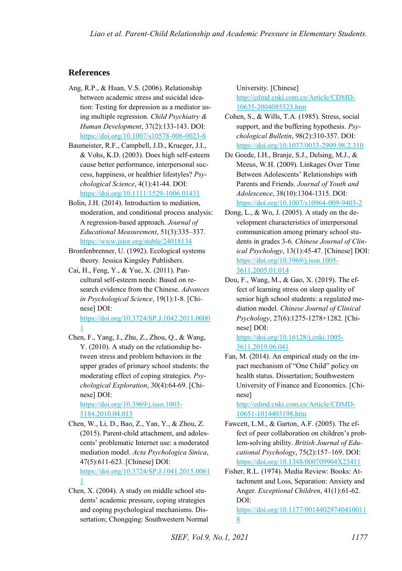#### **References**

- Ang, R.P., & Huan, V.S. (2006). Relationship between academic stress and suicidal ideation: Testing for depression as a mediator using multiple regression. *Child Psychiatry & Human Development*, 37(2):133-143. DOI: <https://doi.org/10.1007/s10578-006-0023-8>
- Baumeister, R.F., Campbell, J.D., Krueger, J.I., & Vohs, K.D. (2003). Does high self-esteem cause better performance, interpersonal success, happiness, or healthier lifestyles? *Psychological Science*, 4(1):41-44. DOI: <https://doi.org/10.1111/1529-1006.01431>
- Bolin, J.H. (2014). Introduction to mediation, moderation, and conditional process analysis: A regression-based approach. *Journal of Educational Measurement*, 51(3):335–337. <https://www.jstor.org/stable/24018134>
- Bronfenbrenner, U. (1992). Ecological systems theory. Jessica Kingsley Publishers.
- Cai, H., Feng, Y., & Yue, X. (2011). Pancultural self-esteem needs: Based on research evidence from the Chinese. *Advances in Psychological Science*, 19(1):1-8. [Chinese] DOI: [https://doi.org/10.3724/SP.J.1042.2011.0000](https://doi.org/10.3724/SP.J.1042.2011.00001) [1](https://doi.org/10.3724/SP.J.1042.2011.00001)
- Chen, F., Yang, J., Zhu, Z., Zhou, Q., & Wang, Y. (2010). A study on the relationship between stress and problem behaviors in the upper grades of primary school students: the moderating effect of coping strategies. *Psychological Exploration*, 30(4):64-69. [Chinese] DOI:

[https://doi.org/10.3969/j.issn.1003-](https://doi.org/10.3969/j.issn.1003-5184.2010.04.013) [5184.2010.04.013](https://doi.org/10.3969/j.issn.1003-5184.2010.04.013) 

- Chen, W., Li, D., Bao, Z., Yan, Y., & Zhou, Z. (2015). Parent-child attachment, and adolescents' problematic Internet use: a moderated mediation model. *Acta Psychologica Sinica*, 47(5):611-623. [Chinese] DOI: [https://doi.org/10.3724/SP.J.1041.2015.0061](https://doi.org/10.3724/SP.J.1041.2015.00611)
- Chen, X. (2004). A study on middle school students' academic pressure, coping strategies and coping psychological mechanisms. Dissertation; Chongqing: Southwestern Normal

[1](https://doi.org/10.3724/SP.J.1041.2015.00611) 

University. [Chinese] [http://cdmd.cnki.com.cn/Article/CDMD-](http://cdmd.cnki.com.cn/Article/CDMD-10635-2004085323.htm)[10635-2004085323.htm](http://cdmd.cnki.com.cn/Article/CDMD-10635-2004085323.htm)

- Cohen, S., & Wills, T.A. (1985). Stress, social support, and the buffering hypothesis. *Psychological Bulletin*, 98(2):310-357. DOI: <https://doi.org/10.1037/0033-2909.98.2.310>
- De Goede, I.H., Branje, S.J., Delsing, M.J., & Meeus, W.H. (2009). Linkages Over Time Between Adolescents' Relationships with Parents and Friends. *Journal of Youth and Adolescence*, 38(10):1304-1315. DOI: <https://doi.org/10.1007/s10964-009-9403-2>
- Dong, L., & Wo, J. (2005). A study on the development characteristics of interpersonal communication among primary school students in grades 3-6. *Chinese Journal of Clinical Psychology*, 13(1):45-47. [Chinese] DOI: [https://doi.org/10.3969/j.issn.1005-](https://doi.org/10.3969/j.issn.1005-3611.2005.01.014) [3611.2005.01.014](https://doi.org/10.3969/j.issn.1005-3611.2005.01.014)
- Dou, F., Wang, M., & Gao, X. (2019). The effect of learning stress on sleep quality of senior high school students: a regulated mediation model. *Chinese Journal of Clinical Psychology*, 27(6):1275-1278+1282. [Chinese] DOI:

[https://doi.org/10.16128/j.cnki.1005-](https://doi.org/10.16128/j.cnki.1005-3611.2019.06.041) [3611.2019.06.041](https://doi.org/10.16128/j.cnki.1005-3611.2019.06.041) 

Fan, M. (2014). An empirical study on the impact mechanism of "One Child" policy on health status. Dissertation; Southwestern University of Finance and Economics. [Chinese]

[http://cdmd.cnki.com.cn/Article/CDMD-](http://cdmd.cnki.com.cn/Article/CDMD-10651-1014403198.htm)[10651-1014403198.htm](http://cdmd.cnki.com.cn/Article/CDMD-10651-1014403198.htm)

- Fawcett, L.M., & Garton, A.F. (2005). The effect of peer collaboration on children's problem-solving ability. *British Journal of Educational Psychology*, 75(2):157–169. DOI: <https://doi.org/10.1348/000709904X23411>
- Fisher, R.L. (1974). Media Review: Books: Attachment and Loss, Separation: Anxiety and Anger. *Exceptional Children*, 41(1):61-62. DOI: [https://doi.org/10.1177/00144029740410011](https://doi.org/10.1177/001440297404100118)

[8](https://doi.org/10.1177/001440297404100118)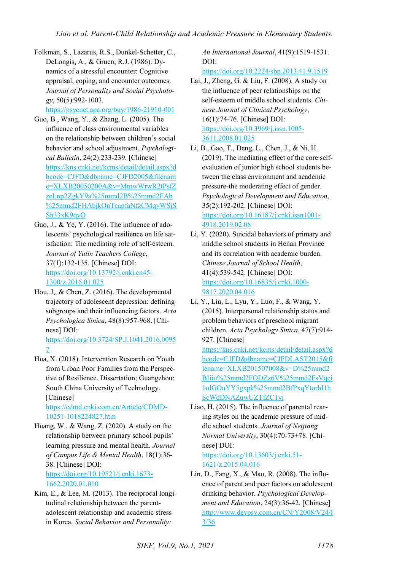Folkman, S., Lazarus, R.S., Dunkel-Schetter, C., DeLongis, A., & Gruen, R.J. (1986). Dynamics of a stressful encounter: Cognitive appraisal, coping, and encounter outcomes. *Journal of Personality and Social Psychology*, 50(5):992-1003.

<https://psycnet.apa.org/buy/1986-21910-001>

- Guo, B., Wang, Y., & Zhang, L. (2005). The influence of class environmental variables on the relationship between children's social behavior and school adjustment. *Psychological Bulletin*, 24(2):233-239. [Chinese] [https://kns.cnki.net/kcms/detail/detail.aspx?d](https://kns.cnki.net/kcms/detail/detail.aspx?dbcode=CJFD&dbname=CJFD2005&filename=XLXB20050200A&v=MmwWrwR2tPsfZzeLnp2ZgkY9a%25mmd2B%25mmd2FAb%25mmd2FHAbjkOnTcapfaNfzCMqyWSjSSh33xK9qyO) [bcode=CJFD&dbname=CJFD2005&filenam](https://kns.cnki.net/kcms/detail/detail.aspx?dbcode=CJFD&dbname=CJFD2005&filename=XLXB20050200A&v=MmwWrwR2tPsfZzeLnp2ZgkY9a%25mmd2B%25mmd2FAb%25mmd2FHAbjkOnTcapfaNfzCMqyWSjSSh33xK9qyO) [e=XLXB20050200A&v=MmwWrwR2tPsfZ](https://kns.cnki.net/kcms/detail/detail.aspx?dbcode=CJFD&dbname=CJFD2005&filename=XLXB20050200A&v=MmwWrwR2tPsfZzeLnp2ZgkY9a%25mmd2B%25mmd2FAb%25mmd2FHAbjkOnTcapfaNfzCMqyWSjSSh33xK9qyO) [zeLnp2ZgkY9a%25mmd2B%25mmd2FAb](https://kns.cnki.net/kcms/detail/detail.aspx?dbcode=CJFD&dbname=CJFD2005&filename=XLXB20050200A&v=MmwWrwR2tPsfZzeLnp2ZgkY9a%25mmd2B%25mmd2FAb%25mmd2FHAbjkOnTcapfaNfzCMqyWSjSSh33xK9qyO) [%25mmd2FHAbjkOnTcapfaNfzCMqyWSjS](https://kns.cnki.net/kcms/detail/detail.aspx?dbcode=CJFD&dbname=CJFD2005&filename=XLXB20050200A&v=MmwWrwR2tPsfZzeLnp2ZgkY9a%25mmd2B%25mmd2FAb%25mmd2FHAbjkOnTcapfaNfzCMqyWSjSSh33xK9qyO) [Sh33xK9qyO](https://kns.cnki.net/kcms/detail/detail.aspx?dbcode=CJFD&dbname=CJFD2005&filename=XLXB20050200A&v=MmwWrwR2tPsfZzeLnp2ZgkY9a%25mmd2B%25mmd2FAb%25mmd2FHAbjkOnTcapfaNfzCMqyWSjSSh33xK9qyO)
- Guo, J., & Ye, Y. (2016). The influence of adolescents' psychological resilience on life satisfaction: The mediating role of self-esteem. *Journal of Yulin Teachers College*, 37(1):132-135. [Chinese] DOI: [https://doi.org/10.13792/j.cnki.cn45-](https://doi.org/10.13792/j.cnki.cn45-1300/z.2016.01.025) [1300/z.2016.01.025](https://doi.org/10.13792/j.cnki.cn45-1300/z.2016.01.025)
- Hou, J,, & Chen, Z. (2016). The developmental trajectory of adolescent depression: defining subgroups and their influencing factors. *Acta Psychologica Sinica*, 48(8):957-968. [Chinese] DOI: [https://doi.org/10.3724/SP.J.1041.2016.0095](https://doi.org/10.3724/SP.J.1041.2016.00957)

[7](https://doi.org/10.3724/SP.J.1041.2016.00957) 

Hua, X. (2018). Intervention Research on Youth from Urban Poor Families from the Perspective of Resilience. Dissertation; Guangzhou: South China University of Technology. [Chinese]

[https://cdmd.cnki.com.cn/Article/CDMD-](https://cdmd.cnki.com.cn/Article/CDMD-10251-1018224827.htm)[10251-1018224827.htm](https://cdmd.cnki.com.cn/Article/CDMD-10251-1018224827.htm) 

Huang, W., & Wang, Z. (2020). A study on the relationship between primary school pupils' learning pressure and mental health. *Journal of Campus Life & Mental Health*, 18(1):36- 38. [Chinese] DOI: [https://doi.org/10.19521/j.cnki.1673-](https://doi.org/10.19521/j.cnki.1673-1662.2020.01.010)

[1662.2020.01.010](https://doi.org/10.19521/j.cnki.1673-1662.2020.01.010) 

Kim, E., & Lee, M. (2013). The reciprocal longitudinal relationship between the parentadolescent relationship and academic stress in Korea. *Social Behavior and Personality:*

*An International Journal*, 41(9):1519-1531. DOI:

<https://doi.org/10.2224/sbp.2013.41.9.1519>

- Lai, J., Zheng, G. & Liu, F. (2008). A study on the influence of peer relationships on the self-esteem of middle school students. *Chinese Journal of Clinical Psychology*, 16(1):74-76. [Chinese] DOI: [https://doi.org/10.3969/j.issn.1005-](https://doi.org/10.3969/j.issn.1005-3611.2008.01.025) [3611.2008.01.025](https://doi.org/10.3969/j.issn.1005-3611.2008.01.025)
- Li, B., Gao, T., Deng, L., Chen, J., & Ni, H. (2019). The mediating effect of the core selfevaluation of junior high school students between the class environment and academic pressure-the moderating effect of gender. *Psychological Development and Education*, 35(2):192-202. [Chinese] DOI: [https://doi.org/10.16187/j.cnki.issn1001-](https://doi.org/10.16187/j.cnki.issn1001-4918.2019.02.08) [4918.2019.02.08](https://doi.org/10.16187/j.cnki.issn1001-4918.2019.02.08)
- Li, Y. (2020). Suicidal behaviors of primary and middle school students in Henan Province and its correlation with academic burden. *Chinese Journal of School Health*, 41(4):539-542. [Chinese] DOI: [https://doi.org/10.16835/j.cnki.1000-](https://doi.org/10.16835/j.cnki.1000-9817.2020.04.016) [9817.2020.04.016](https://doi.org/10.16835/j.cnki.1000-9817.2020.04.016)
- Li, Y., Liu, L., Lyu, Y., Luo, F., & Wang, Y. (2015). Interpersonal relationship status and problem behaviors of preschool migrant children. *Acta Psychology Sinica*, 47(7):914- 927. [Chinese] [https://kns.cnki.net/kcms/detail/detail.aspx?d](https://kns.cnki.net/kcms/detail/detail.aspx?dbcode=CJFD&dbname=CJFDLAST2015&filename=XLXB201507008&v=D%25mmd2BIiiu%25mmd2FODZz6V%25mmd2FsVqci1olGOuYY5gxpk%25mmd2BfPxqYtorhI1hScWdDNAZuwUZTfZC1yj) [bcode=CJFD&dbname=CJFDLAST2015&fi](https://kns.cnki.net/kcms/detail/detail.aspx?dbcode=CJFD&dbname=CJFDLAST2015&filename=XLXB201507008&v=D%25mmd2BIiiu%25mmd2FODZz6V%25mmd2FsVqci1olGOuYY5gxpk%25mmd2BfPxqYtorhI1hScWdDNAZuwUZTfZC1yj) [lename=XLXB201507008&v=D%25mmd2](https://kns.cnki.net/kcms/detail/detail.aspx?dbcode=CJFD&dbname=CJFDLAST2015&filename=XLXB201507008&v=D%25mmd2BIiiu%25mmd2FODZz6V%25mmd2FsVqci1olGOuYY5gxpk%25mmd2BfPxqYtorhI1hScWdDNAZuwUZTfZC1yj) [BIiiu%25mmd2FODZz6V%25mmd2FsVqci](https://kns.cnki.net/kcms/detail/detail.aspx?dbcode=CJFD&dbname=CJFDLAST2015&filename=XLXB201507008&v=D%25mmd2BIiiu%25mmd2FODZz6V%25mmd2FsVqci1olGOuYY5gxpk%25mmd2BfPxqYtorhI1hScWdDNAZuwUZTfZC1yj) [1olGOuYY5gxpk%25mmd2BfPxqYtorhI1h](https://kns.cnki.net/kcms/detail/detail.aspx?dbcode=CJFD&dbname=CJFDLAST2015&filename=XLXB201507008&v=D%25mmd2BIiiu%25mmd2FODZz6V%25mmd2FsVqci1olGOuYY5gxpk%25mmd2BfPxqYtorhI1hScWdDNAZuwUZTfZC1yj) [ScWdDNAZuwUZTfZC1yj](https://kns.cnki.net/kcms/detail/detail.aspx?dbcode=CJFD&dbname=CJFDLAST2015&filename=XLXB201507008&v=D%25mmd2BIiiu%25mmd2FODZz6V%25mmd2FsVqci1olGOuYY5gxpk%25mmd2BfPxqYtorhI1hScWdDNAZuwUZTfZC1yj)  Liao, H. (2015). The influence of parental rear-
- ing styles on the academic pressure of middle school students. *Journal of Neijiang Normal University*, 30(4):70-73+78. [Chinese] DOI:

[https://doi.org/10.13603/j.cnki.51-](https://doi.org/10.13603/j.cnki.51-1621/z.2015.04.016) [1621/z.2015.04.016](https://doi.org/10.13603/j.cnki.51-1621/z.2015.04.016) 

Lin, D., Fang, X., & Mao, R. (2008). The influence of parent and peer factors on adolescent drinking behavior. *Psychological Development and Education*, 24(3):36-42. [Chinese] [http://www.devpsy.com.cn/CN/Y2008/V24/I](http://www.devpsy.com.cn/CN/Y2008/V24/I3/36) [3/36](http://www.devpsy.com.cn/CN/Y2008/V24/I3/36)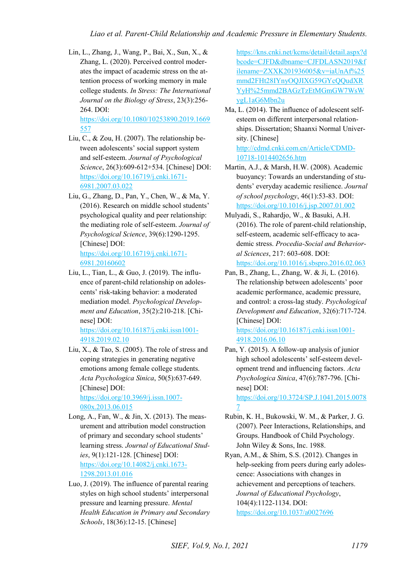Lin, L., Zhang, J., Wang, P., Bai, X., Sun, X., & Zhang, L. (2020). Perceived control moderates the impact of academic stress on the attention process of working memory in male college students. *In Stress: The International Journal on the Biology of Stress*, 23(3):256- 264. DOI:

[https://doi.org/10.1080/10253890.2019.1669](https://doi.org/10.1080/10253890.2019.1669557) [557](https://doi.org/10.1080/10253890.2019.1669557) 

- Liu, C., & Zou, H. (2007). The relationship between adolescents' social support system and self-esteem. *Journal of Psychological Science*, 26(3):609-612+534. [Chinese] DOI: [https://doi.org/10.16719/j.cnki.1671-](https://doi.org/10.16719/j.cnki.1671-6981.2007.03.022) [6981.2007.03.022](https://doi.org/10.16719/j.cnki.1671-6981.2007.03.022)
- Liu, G., Zhang, D., Pan, Y., Chen, W., & Ma, Y. (2016). Research on middle school students' psychological quality and peer relationship: the mediating role of self-esteem. *Journal of Psychological Science*, 39(6):1290-1295. [Chinese] DOI: [https://doi.org/10.16719/j.cnki.1671-](https://doi.org/10.16719/j.cnki.1671-6981.20160602)

[6981.20160602](https://doi.org/10.16719/j.cnki.1671-6981.20160602) 

Liu, L., Tian, L., & Guo, J. (2019). The influence of parent-child relationship on adolescents' risk-taking behavior: a moderated mediation model. *Psychological Development and Education*, 35(2):210-218. [Chinese] DOI:

[https://doi.org/10.16187/j.cnki.issn1001-](https://doi.org/10.16187/j.cnki.issn1001-4918.2019.02.10) [4918.2019.02.10](https://doi.org/10.16187/j.cnki.issn1001-4918.2019.02.10) 

Liu, X.,  $\&$  Tao, S. (2005). The role of stress and coping strategies in generating negative emotions among female college students. *Acta Psychologica Sinica*, 50(5):637-649. [Chinese] DOI:

[https://doi.org/10.3969/j.issn.1007-](https://doi.org/10.3969/j.issn.1007-080x.2013.06.015) [080x.2013.06.015](https://doi.org/10.3969/j.issn.1007-080x.2013.06.015) 

- Long, A., Fan, W., & Jin, X. (2013). The measurement and attribution model construction of primary and secondary school students' learning stress. *Journal of Educational Studies*, 9(1):121-128. [Chinese] DOI: [https://doi.org/10.14082/j.cnki.1673-](https://doi.org/10.14082/j.cnki.1673-1298.2013.01.016) [1298.2013.01.016](https://doi.org/10.14082/j.cnki.1673-1298.2013.01.016)
- Luo, J. (2019). The influence of parental rearing styles on high school students' interpersonal pressure and learning pressure. *Mental Health Education in Primary and Secondary Schools*, 18(36):12-15. [Chinese]

[https://kns.cnki.net/kcms/detail/detail.aspx?d](https://kns.cnki.net/kcms/detail/detail.aspx?dbcode=CJFD&dbname=CJFDLASN2019&filename=ZXXK201936005&v=iaUnAf%25mmd2FHt28IYnyOQJIXG59GYcQQudXRYyH%25mmd2BAGzTzEtMGmGW7WsWygL1aG6Mbn2u) [bcode=CJFD&dbname=CJFDLASN2019&f](https://kns.cnki.net/kcms/detail/detail.aspx?dbcode=CJFD&dbname=CJFDLASN2019&filename=ZXXK201936005&v=iaUnAf%25mmd2FHt28IYnyOQJIXG59GYcQQudXRYyH%25mmd2BAGzTzEtMGmGW7WsWygL1aG6Mbn2u) [ilename=ZXXK201936005&v=iaUnAf%25](https://kns.cnki.net/kcms/detail/detail.aspx?dbcode=CJFD&dbname=CJFDLASN2019&filename=ZXXK201936005&v=iaUnAf%25mmd2FHt28IYnyOQJIXG59GYcQQudXRYyH%25mmd2BAGzTzEtMGmGW7WsWygL1aG6Mbn2u) [mmd2FHt28IYnyOQJIXG59GYcQQudXR](https://kns.cnki.net/kcms/detail/detail.aspx?dbcode=CJFD&dbname=CJFDLASN2019&filename=ZXXK201936005&v=iaUnAf%25mmd2FHt28IYnyOQJIXG59GYcQQudXRYyH%25mmd2BAGzTzEtMGmGW7WsWygL1aG6Mbn2u) [YyH%25mmd2BAGzTzEtMGmGW7WsW](https://kns.cnki.net/kcms/detail/detail.aspx?dbcode=CJFD&dbname=CJFDLASN2019&filename=ZXXK201936005&v=iaUnAf%25mmd2FHt28IYnyOQJIXG59GYcQQudXRYyH%25mmd2BAGzTzEtMGmGW7WsWygL1aG6Mbn2u) [ygL1aG6Mbn2u](https://kns.cnki.net/kcms/detail/detail.aspx?dbcode=CJFD&dbname=CJFDLASN2019&filename=ZXXK201936005&v=iaUnAf%25mmd2FHt28IYnyOQJIXG59GYcQQudXRYyH%25mmd2BAGzTzEtMGmGW7WsWygL1aG6Mbn2u) 

- Ma, L. (2014). The influence of adolescent selfesteem on different interpersonal relationships. Dissertation; Shaanxi Normal University. [Chinese] [http://cdmd.cnki.com.cn/Article/CDMD-](http://cdmd.cnki.com.cn/Article/CDMD-10718-1014402656.htm)[10718-1014402656.htm](http://cdmd.cnki.com.cn/Article/CDMD-10718-1014402656.htm)
- Martin, A.J., & Marsh, H.W. (2008). Academic buoyancy: Towards an understanding of students' everyday academic resilience. *Journal of school psychology*, 46(1):53-83. DOI: <https://doi.org/10.1016/j.jsp.2007.01.002>
- Mulyadi, S., Rahardjo, W., & Basuki, A.H. (2016). The role of parent-child relationship, self-esteem, academic self-efficacy to academic stress. *Procedia-Social and Behavioral Sciences*, 217: 603-608. DOI: <https://doi.org/10.1016/j.sbspro.2016.02.063>
- Pan, B., Zhang, L., Zhang, W. & Ji, L. (2016). The relationship between adolescents' poor academic performance, academic pressure, and control: a cross-lag study. *Psychological Development and Education*, 32(6):717-724. [Chinese] DOI:

[https://doi.org/10.16187/j.cnki.issn1001-](https://doi.org/10.16187/j.cnki.issn1001-4918.2016.06.10) [4918.2016.06.10](https://doi.org/10.16187/j.cnki.issn1001-4918.2016.06.10) 

Pan, Y. (2015). A follow-up analysis of junior high school adolescents' self-esteem development trend and influencing factors. *Acta Psychologica Sinica*, 47(6):787-796. [Chinese] DOI:

[https://doi.org/10.3724/SP.J.1041.2015.0078](https://doi.org/10.3724/SP.J.1041.2015.00787) [7](https://doi.org/10.3724/SP.J.1041.2015.00787) 

Rubin, K. H., Bukowski, W. M., & Parker, J. G. (2007). Peer Interactions, Relationships, and Groups. Handbook of Child Psychology. John Wiley & Sons, Inc. 1988.

Ryan, A.M., & Shim, S.S. (2012). Changes in help-seeking from peers during early adolescence: Associations with changes in achievement and perceptions of teachers. *Journal of Educational Psychology*, 104(4):1122-1134. DOI: <https://doi.org/10.1037/a0027696>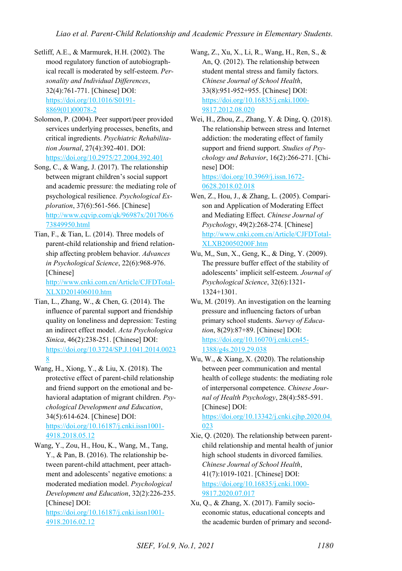- Setliff, A.E., & Marmurek, H.H. (2002). The mood regulatory function of autobiographical recall is moderated by self-esteem. *Personality and Individual Differences*, 32(4):761-771. [Chinese] DOI: [https://doi.org/10.1016/S0191-](https://doi.org/10.1016/S0191-8869(01)00078-2) [8869\(01\)00078-2](https://doi.org/10.1016/S0191-8869(01)00078-2)
- Solomon, P. (2004). Peer support/peer provided services underlying processes, benefits, and critical ingredients. *Psychiatric Rehabilitation Journal*, 27(4):392-401. DOI: <https://doi.org/10.2975/27.2004.392.401>
- Song, C., & Wang, J. (2017). The relationship between migrant children's social support and academic pressure: the mediating role of psychological resilience. *Psychological Exploration*, 37(6):561-566. [Chinese] [http://www.cqvip.com/qk/96987x/201706/6](http://www.cqvip.com/qk/96987x/201706/673849950.html) [73849950.html](http://www.cqvip.com/qk/96987x/201706/673849950.html)
- Tian, F., & Tian, L. (2014). Three models of parent-child relationship and friend relationship affecting problem behavior. *Advances in Psychological Science*, 22(6):968-976. [Chinese] [http://www.cnki.com.cn/Article/CJFDTotal-](http://www.cnki.com.cn/Article/CJFDTotal-XLXD201406010.htm)

[XLXD201406010.htm](http://www.cnki.com.cn/Article/CJFDTotal-XLXD201406010.htm) 

- Tian, L., Zhang, W., & Chen, G. (2014). The influence of parental support and friendship quality on loneliness and depression: Testing an indirect effect model. *Acta Psychologica Sinica*, 46(2):238-251. [Chinese] DOI: [https://doi.org/10.3724/SP.J.1041.2014.0023](https://doi.org/10.3724/SP.J.1041.2014.00238) [8](https://doi.org/10.3724/SP.J.1041.2014.00238)
- Wang, H., Xiong, Y., & Liu, X. (2018). The protective effect of parent-child relationship and friend support on the emotional and behavioral adaptation of migrant children. *Psychological Development and Education*, 34(5):614-624. [Chinese] DOI: [https://doi.org/10.16187/j.cnki.issn1001-](https://doi.org/10.16187/j.cnki.issn1001-4918.2018.05.12) [4918.2018.05.12](https://doi.org/10.16187/j.cnki.issn1001-4918.2018.05.12)
- Wang, Y., Zou, H., Hou, K., Wang, M., Tang, Y., & Pan, B. (2016). The relationship between parent-child attachment, peer attachment and adolescents' negative emotions: a moderated mediation model. *Psychological Development and Education*, 32(2):226-235. [Chinese] DOI:

[https://doi.org/10.16187/j.cnki.issn1001-](https://doi.org/10.16187/j.cnki.issn1001-4918.2016.02.12) [4918.2016.02.12](https://doi.org/10.16187/j.cnki.issn1001-4918.2016.02.12) 

- Wang, Z., Xu, X., Li, R., Wang, H., Ren, S., & An, Q. (2012). The relationship between student mental stress and family factors. *Chinese Journal of School Health*, 33(8):951-952+955. [Chinese] DOI: [https://doi.org/10.16835/j.cnki.1000-](https://doi.org/10.16835/j.cnki.1000-9817.2012.08.020) [9817.2012.08.020](https://doi.org/10.16835/j.cnki.1000-9817.2012.08.020)
- Wei, H., Zhou, Z., Zhang, Y. & Ding, Q. (2018). The relationship between stress and Internet addiction: the moderating effect of family support and friend support. *Studies of Psychology and Behavior*, 16(2):266-271. [Chinese] DOI: [https://doi.org/10.3969/j.issn.1672-](https://doi.org/10.3969/j.issn.1672-0628.2018.02.018)

[0628.2018.02.018](https://doi.org/10.3969/j.issn.1672-0628.2018.02.018) 

- Wen, Z., Hou, J., & Zhang, L. (2005). Comparison and Application of Moderating Effect and Mediating Effect. *Chinese Journal of Psychology*, 49(2):268-274. [Chinese] [http://www.cnki.com.cn/Article/CJFDTotal-](http://www.cnki.com.cn/Article/CJFDTotal-XLXB20050200F.htm)[XLXB20050200F.htm](http://www.cnki.com.cn/Article/CJFDTotal-XLXB20050200F.htm)
- Wu, M,, Sun, X., Geng, K., & Ding, Y. (2009). The pressure buffer effect of the stability of adolescents' implicit self-esteem. *Journal of Psychological Science*, 32(6):1321- 1324+1301.
- Wu, M. (2019). An investigation on the learning pressure and influencing factors of urban primary school students. *Survey of Education*, 8(29):87+89. [Chinese] DOI: [https://doi.org/10.16070/j.cnki.cn45-](https://doi.org/10.16070/j.cnki.cn45-1388/g4s.2019.29.038) [1388/g4s.2019.29.038](https://doi.org/10.16070/j.cnki.cn45-1388/g4s.2019.29.038)
- Wu, W., & Xiang, X. (2020). The relationship between peer communication and mental health of college students: the mediating role of interpersonal competence. *Chinese Journal of Health Psychology*, 28(4):585-591. [Chinese] DOI:

[https://doi.org/10.13342/j.cnki.cjhp.2020.04.](https://doi.org/10.13342/j.cnki.cjhp.2020.04.023) [023](https://doi.org/10.13342/j.cnki.cjhp.2020.04.023) 

- Xie, Q. (2020). The relationship between parentchild relationship and mental health of junior high school students in divorced families. *Chinese Journal of School Health*, 41(7):1019-1021. [Chinese] DOI: [https://doi.org/10.16835/j.cnki.1000-](https://doi.org/10.16835/j.cnki.1000-9817.2020.07.017) [9817.2020.07.017](https://doi.org/10.16835/j.cnki.1000-9817.2020.07.017)
- Xu, Q., & Zhang, X. (2017). Family socioeconomic status, educational concepts and the academic burden of primary and second-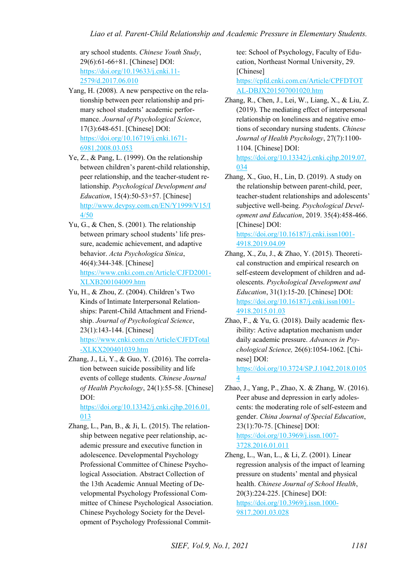ary school students. *Chinese Youth Study*, 29(6):61-66+81. [Chinese] DOI: [https://doi.org/10.19633/j.cnki.11-](https://doi.org/10.19633/j.cnki.11-2579/d.2017.06.010) [2579/d.2017.06.010](https://doi.org/10.19633/j.cnki.11-2579/d.2017.06.010) 

- Yang, H. (2008). A new perspective on the relationship between peer relationship and primary school students' academic performance. *Journal of Psychological Science*, 17(3):648-651. [Chinese] DOI: [https://doi.org/10.16719/j.cnki.1671-](https://doi.org/10.16719/j.cnki.1671-6981.2008.03.053) [6981.2008.03.053](https://doi.org/10.16719/j.cnki.1671-6981.2008.03.053)
- Ye, Z., & Pang, L. (1999). On the relationship between children's parent-child relationship, peer relationship, and the teacher-student relationship. *Psychological Development and Education*, 15(4):50-53+57. [Chinese] [http://www.devpsy.com.cn/EN/Y1999/V15/I](http://www.devpsy.com.cn/EN/Y1999/V15/I4/50) [4/50](http://www.devpsy.com.cn/EN/Y1999/V15/I4/50)
- Yu, G., & Chen, S. (2001). The relationship between primary school students' life pressure, academic achievement, and adaptive behavior. *Acta Psychologica Sinica*, 46(4):344-348. [Chinese] [https://www.cnki.com.cn/Article/CJFD2001-](https://www.cnki.com.cn/Article/CJFD2001-XLXB200104009.htm) [XLXB200104009.htm](https://www.cnki.com.cn/Article/CJFD2001-XLXB200104009.htm)
- Yu, H., & Zhou, Z. (2004). Children's Two Kinds of Intimate Interpersonal Relationships: Parent-Child Attachment and Friendship. *Journal of Psychological Science*, 23(1):143-144. [Chinese] [https://www.cnki.com.cn/Article/CJFDTotal](https://www.cnki.com.cn/Article/CJFDTotal-XLKX200401039.htm) [-XLKX200401039.htm](https://www.cnki.com.cn/Article/CJFDTotal-XLKX200401039.htm)
- Zhang, J., Li, Y., & Guo, Y. (2016). The correlation between suicide possibility and life events of college students. *Chinese Journal of Health Psychology*, 24(1):55-58. [Chinese] DOI: [https://doi.org/10.13342/j.cnki.cjhp.2016.01.](https://doi.org/10.13342/j.cnki.cjhp.2016.01.013)

[013](https://doi.org/10.13342/j.cnki.cjhp.2016.01.013) 

Zhang, L., Pan, B.,  $\&$  Ji, L. (2015). The relationship between negative peer relationship, academic pressure and executive function in adolescence. Developmental Psychology Professional Committee of Chinese Psychological Association. Abstract Collection of the 13th Academic Annual Meeting of Developmental Psychology Professional Committee of Chinese Psychological Association. Chinese Psychology Society for the Development of Psychology Professional Committee: School of Psychology, Faculty of Education, Northeast Normal University, 29. [Chinese]

[https://cpfd.cnki.com.cn/Article/CPFDTOT](https://cpfd.cnki.com.cn/Article/CPFDTOTAL-DBJX201507001020.htm) [AL-DBJX201507001020.htm](https://cpfd.cnki.com.cn/Article/CPFDTOTAL-DBJX201507001020.htm) 

Zhang, R., Chen, J., Lei, W., Liang, X., & Liu, Z. (2019). The mediating effect of interpersonal relationship on loneliness and negative emotions of secondary nursing students. *Chinese Journal of Health Psychology*, 27(7):1100- 1104. [Chinese] DOI: [https://doi.org/10.13342/j.cnki.cjhp.2019.07.](https://doi.org/10.13342/j.cnki.cjhp.2019.07.034)

[034](https://doi.org/10.13342/j.cnki.cjhp.2019.07.034) 

Zhang, X., Guo, H., Lin, D. (2019). A study on the relationship between parent-child, peer, teacher-student relationships and adolescents' subjective well-being. *Psychological Development and Education*, 2019. 35(4):458-466. [Chinese] DOI:

[https://doi.org/10.16187/j.cnki.issn1001-](https://doi.org/10.16187/j.cnki.issn1001-4918.2019.04.09) [4918.2019.04.09](https://doi.org/10.16187/j.cnki.issn1001-4918.2019.04.09) 

- Zhang, X., Zu, J., & Zhao, Y. (2015). Theoretical construction and empirical research on self-esteem development of children and adolescents. *Psychological Development and Education*, 31(1):15-20. [Chinese] DOI: [https://doi.org/10.16187/j.cnki.issn1001-](https://doi.org/10.16187/j.cnki.issn1001-4918.2015.01.03) [4918.2015.01.03](https://doi.org/10.16187/j.cnki.issn1001-4918.2015.01.03)
- Zhao, F., & Yu, G. (2018). Daily academic flexibility: Active adaptation mechanism under daily academic pressure. *Advances in Psychological Science,* 26(6):1054-1062. [Chinese] DOI:

[https://doi.org/10.3724/SP.J.1042.2018.0105](https://doi.org/10.3724/SP.J.1042.2018.01054) [4](https://doi.org/10.3724/SP.J.1042.2018.01054) 

Zhao, J., Yang, P., Zhao, X. & Zhang, W. (2016). Peer abuse and depression in early adolescents: the moderating role of self-esteem and gender. *China Journal of Special Education*, 23(1):70-75. [Chinese] DOI: [https://doi.org/10.3969/j.issn.1007-](https://doi.org/10.3969/j.issn.1007-3728.2016.01.011) [3728.2016.01.011](https://doi.org/10.3969/j.issn.1007-3728.2016.01.011)

Zheng, L., Wan, L., & Li, Z. (2001). Linear regression analysis of the impact of learning pressure on students' mental and physical health. *Chinese Journal of School Health*, 20(3):224-225. [Chinese] DOI: [https://doi.org/10.3969/j.issn.1000-](https://doi.org/10.3969/j.issn.1000-9817.2001.03.028) [9817.2001.03.028](https://doi.org/10.3969/j.issn.1000-9817.2001.03.028)